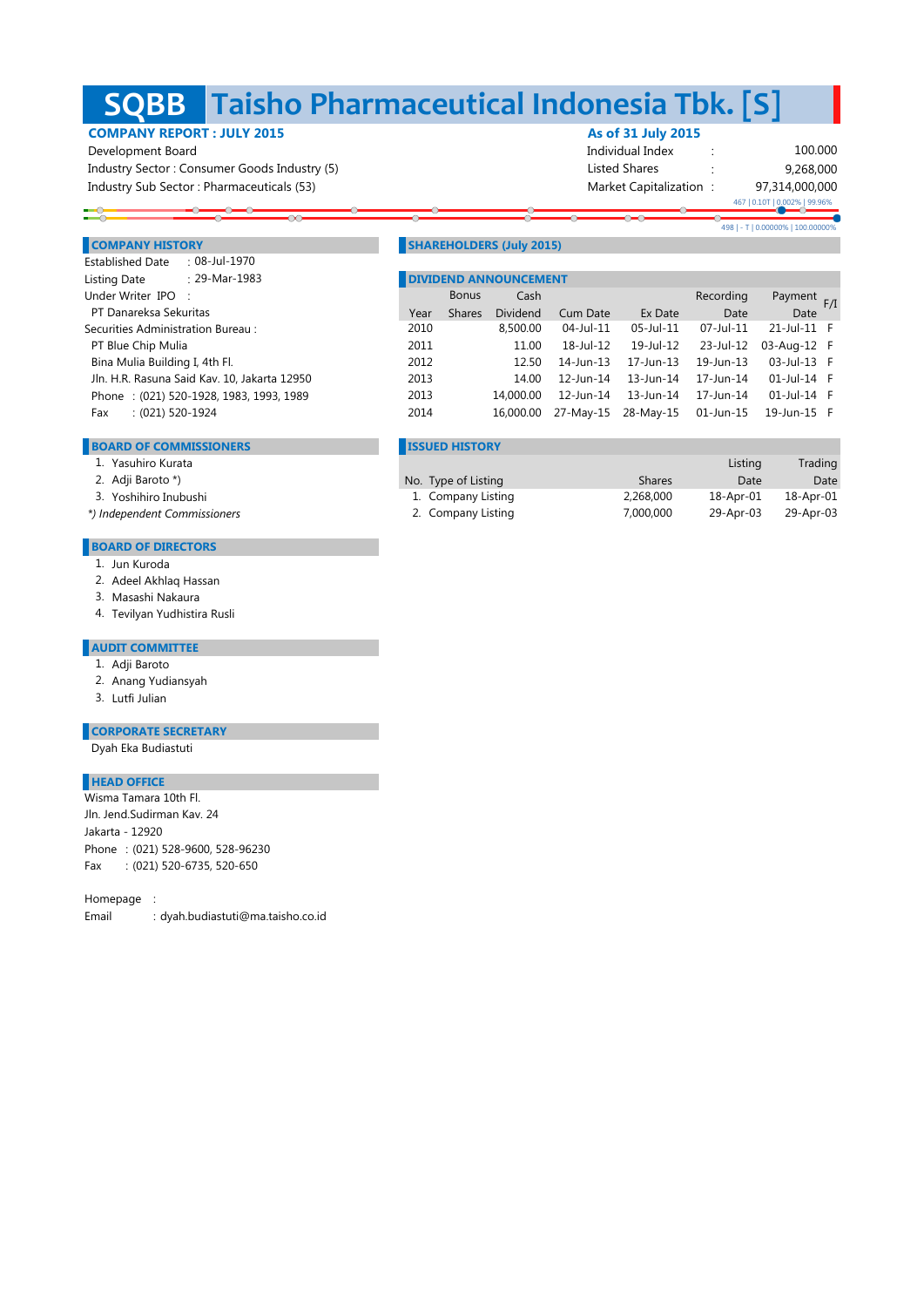## **Taisho Pharmaceutical Indonesia Tbk. [S] SQBB**

# **COMPANY REPORT : JULY 2015 As of 31 July 2015**

 Development Board Individual Index : Industry Sector : Consumer Goods Industry (5) Shares : Consumer Goods Industry (5) Listed Shares : Listed Shares Industry Sub Sector : Pharmaceuticals (53) Market Capitalization : Market Capitalization :

97,314,000,000 9,268,000 100.000 467 | 0.10T | 0.002% | 99.96%

498 | - T | 0.00000% | 100.00000%

## **COMPANY HISTORY** SHAREHOLDERS (July 2015)

| $: 29$ -Mar-1983<br>Listing Date             |      | <b>DIVIDEND ANNOUNCEMENT</b> |                 |                     |           |           |             |  |
|----------------------------------------------|------|------------------------------|-----------------|---------------------|-----------|-----------|-------------|--|
| Under Writer IPO :                           |      | <b>Bonus</b>                 | Cash            |                     |           | Recording | Payment F/I |  |
| PT Danareksa Sekuritas                       | Year | <b>Shares</b>                | <b>Dividend</b> | Cum Date            | Ex Date   | Date      | Date        |  |
| Securities Administration Bureau:            | 2010 |                              | 8,500,00        | 04-Jul-11           | 05-Jul-11 | 07-Jul-11 | 21-Jul-11 F |  |
| PT Blue Chip Mulia                           | 2011 |                              | 11.00           | 18-Jul-12           | 19-Jul-12 | 23-Jul-12 | 03-Aug-12 F |  |
| Bina Mulia Building I, 4th Fl.               | 2012 |                              | 12.50           | 14-Jun-13           | 17-Jun-13 | 19-Jun-13 | 03-Jul-13 F |  |
| Jln. H.R. Rasuna Said Kav. 10, Jakarta 12950 | 2013 |                              | 14.00           | 12-Jun-14           | 13-Jun-14 | 17-Jun-14 | 01-Jul-14 F |  |
| Phone: (021) 520-1928, 1983, 1993, 1989      | 2013 |                              | 14,000.00       | 12-Jun-14           | 13-Jun-14 | 17-Jun-14 | 01-Jul-14 F |  |
| $(021)$ 520-1924<br>Fax                      | 2014 |                              | 16,000.00       | 27-May-15 28-May-15 |           | 01-Jun-15 | 19-Jun-15 F |  |
|                                              |      |                              |                 |                     |           |           |             |  |

## **BOARD OF COMMISSIONERS ISSUED HISTORY**

Established Date : 08-Jul-1970

|  | Yasuhiro Kurata |  |
|--|-----------------|--|
|--|-----------------|--|

- 2. Adji Baroto \*)
- 3. Yoshihiro Inubushi

 *\*) Independent Commissioners*

### **BOARD OF DIRECTORS**

- 1. Jun Kuroda
- 2. Adeel Akhlaq Hassan
- 3. Masashi Nakaura
- 4. Tevilyan Yudhistira Rusli

## **AUDIT COMMITTEE**

- 1. Adji Baroto
- 2. Anang Yudiansyah
- 3. Lutfi Julian

### **CORPORATE SECRETARY**

Dyah Eka Budiastuti

## **HEAD OFFICE**

Phone : (021) 528-9600, 528-96230 Fax : (021) 520-6735, 520-650 Jln. Jend.Sudirman Kav. 24 Jakarta - 12920 Wisma Tamara 10th Fl.

Homepage :

Email : dyah.budiastuti@ma.taisho.co.id

| Yasuhiro Kurata         |                     |               | Listina   | Trading   |
|-------------------------|---------------------|---------------|-----------|-----------|
| Adji Baroto *)          | No. Type of Listing | <b>Shares</b> | Date      | Date      |
| Yoshihiro Inubushi      | 1. Company Listing  | 2.268.000     | 18-Apr-01 | 18-Apr-01 |
| Iependent Commissioners | 2. Company Listing  | 7.000.000     | 29-Apr-03 | 29-Apr-03 |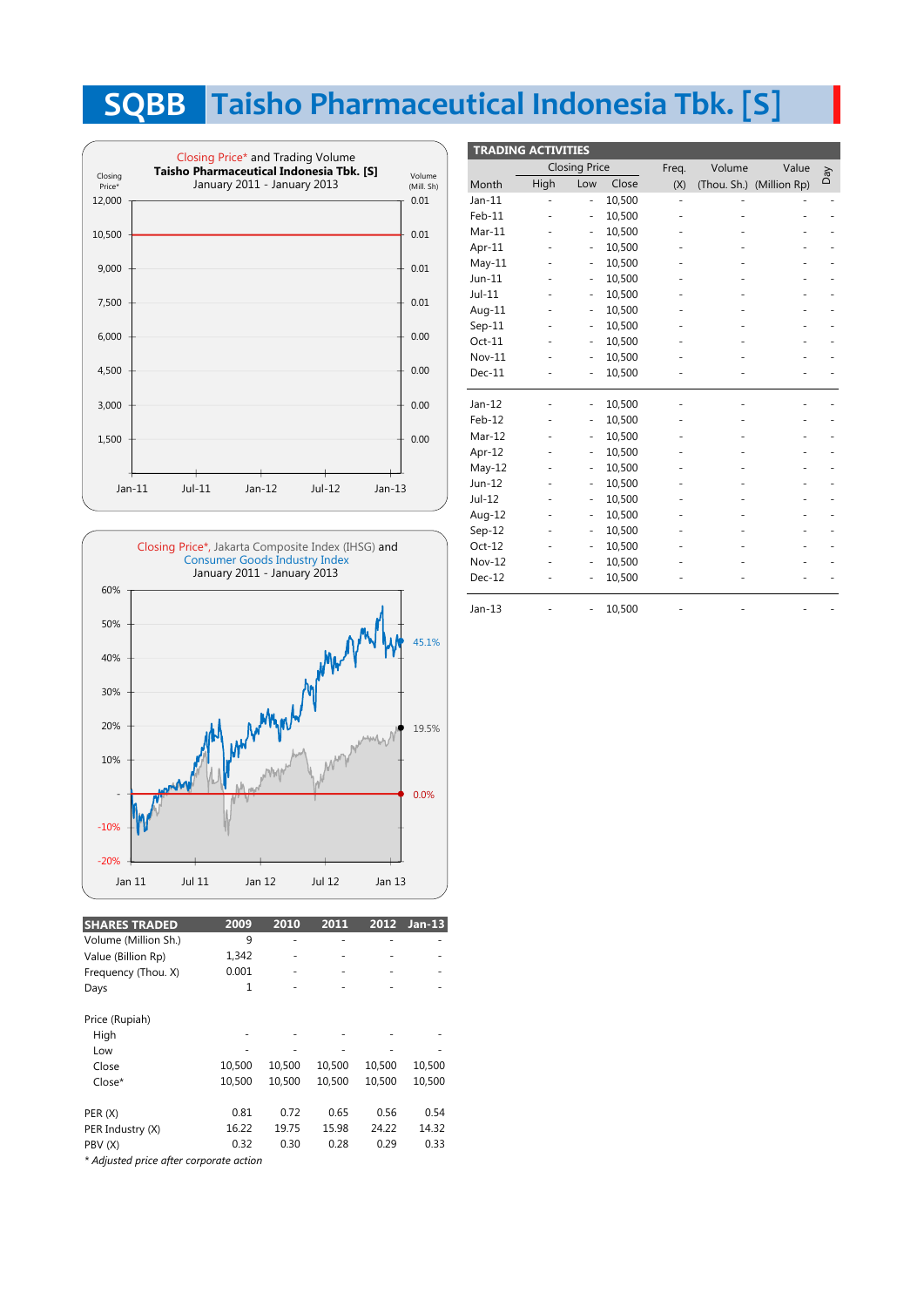# **Taisho Pharmaceutical Indonesia Tbk. [S] SQBB**





| <b>SHARES TRADED</b>                    | 2009   | 2010   | 2011   | 2012   | $Jan-13$ |
|-----------------------------------------|--------|--------|--------|--------|----------|
| Volume (Million Sh.)                    | 9      |        |        |        |          |
| Value (Billion Rp)                      | 1,342  |        |        |        |          |
| Frequency (Thou. X)                     | 0.001  |        |        |        |          |
| Days                                    | 1      |        |        |        |          |
| Price (Rupiah)                          |        |        |        |        |          |
| High                                    |        |        |        |        |          |
| Low                                     |        |        |        |        |          |
| Close                                   | 10,500 | 10,500 | 10,500 | 10,500 | 10,500   |
| Close*                                  | 10,500 | 10.500 | 10.500 | 10.500 | 10,500   |
| PER(X)                                  | 0.81   | 0.72   | 0.65   | 0.56   | 0.54     |
| PER Industry (X)                        | 16.22  | 19.75  | 15.98  | 24.22  | 14.32    |
| PBV (X)                                 | 0.32   | 0.30   | 0.28   | 0.29   | 0.33     |
| * Adjusted price after corporate action |        |        |        |        |          |

| <b>TRADING ACTIVITIES</b> |                          |                          |        |       |             |              |     |
|---------------------------|--------------------------|--------------------------|--------|-------|-------------|--------------|-----|
|                           |                          | <b>Closing Price</b>     |        | Freq. | Volume      | Value        | Day |
| Month                     | High                     | Low                      | Close  | (X)   | (Thou. Sh.) | (Million Rp) |     |
| $Jan-11$                  | $\overline{\phantom{m}}$ | $\frac{1}{2}$            | 10,500 | ٠     |             |              |     |
| $Feb-11$                  |                          | $\overline{\phantom{0}}$ | 10,500 |       |             |              |     |
| $Mar-11$                  |                          | $\overline{\phantom{0}}$ | 10,500 |       |             |              |     |
| Apr-11                    | ٠                        | $\frac{1}{2}$            | 10,500 |       |             |              |     |
| $May-11$                  |                          | $\overline{\phantom{0}}$ | 10,500 |       |             |              |     |
| $Jun-11$                  |                          | $\overline{\phantom{0}}$ | 10,500 |       |             |              |     |
| $Jul-11$                  |                          | $\overline{\phantom{0}}$ | 10,500 |       |             |              |     |
| Aug-11                    |                          | $\frac{1}{2}$            | 10,500 | ٠     |             |              |     |
| $Sep-11$                  |                          | $\overline{\phantom{0}}$ | 10,500 |       |             |              |     |
| $Oct-11$                  |                          | $\overline{\phantom{0}}$ | 10,500 |       |             |              |     |
| $Nov-11$                  |                          | $\overline{\phantom{0}}$ | 10,500 |       |             |              |     |
| $Dec-11$                  |                          | $\overline{\phantom{0}}$ | 10,500 | ٠     |             |              |     |
|                           |                          |                          |        |       |             |              |     |
| $Jan-12$                  |                          | $\frac{1}{2}$            | 10,500 |       |             |              |     |
| Feb-12                    |                          | $\frac{1}{2}$            | 10,500 |       |             |              |     |
| $Mar-12$                  |                          | $\frac{1}{2}$            | 10,500 | ٠     |             |              |     |
| Apr-12                    |                          | $\overline{\phantom{0}}$ | 10,500 |       |             |              |     |
| $May-12$                  |                          | $\overline{\phantom{0}}$ | 10,500 |       |             |              |     |
| Jun-12                    |                          | $\overline{\phantom{0}}$ | 10,500 |       |             |              |     |
| Jul-12                    |                          | $\frac{1}{2}$            | 10,500 | ٠     |             |              |     |
| Aug-12                    |                          | $\overline{\phantom{0}}$ | 10,500 |       |             |              |     |
| $Sep-12$                  |                          | $\overline{\phantom{a}}$ | 10,500 |       |             |              |     |
| $Oct-12$                  |                          | $\overline{\phantom{m}}$ | 10,500 |       |             |              |     |
| <b>Nov-12</b>             |                          | $\overline{\phantom{m}}$ | 10,500 |       |             |              |     |
| $Dec-12$                  |                          | -                        | 10,500 |       |             |              |     |
| $Jan-13$                  |                          |                          | 10,500 |       |             |              |     |